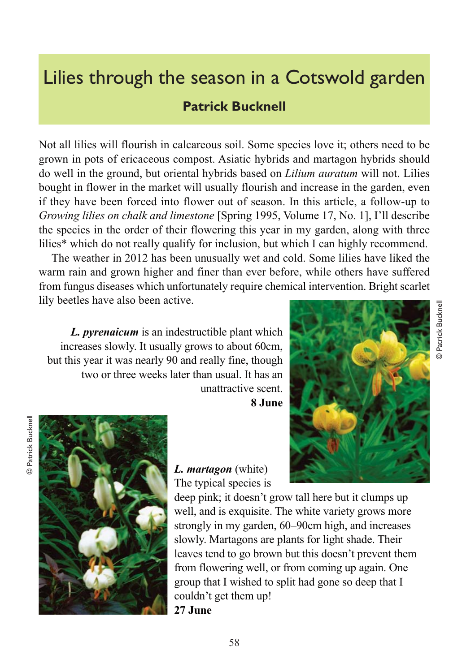## Lilies through the season in a Cotswold garden

## **Patrick Bucknell**

Not all lilies will flourish in calcareous soil. Some species love it; others need to be grown in pots of ericaceous compost. Asiatic hybrids and martagon hybrids should do well in the ground, but oriental hybrids based on *Lilium auratum* will not. Lilies bought in flower in the market will usually flourish and increase in the garden, even if they have been forced into flower out of season. In this article, a follow-up to *Growing lilies on chalk and limestone* [Spring 1995, Volume 17, No. 1], I'll describe the species in the order of their flowering this year in my garden, along with three lilies\* which do not really qualify for inclusion, but which I can highly recommend.

The weather in 2012 has been unusually wet and cold. Some lilies have liked the warm rain and grown higher and finer than ever before, while others have suffered from fungus diseases which unfortunately require chemical intervention. Bright scarlet lily beetles have also been active.

*L. pyrenaicum* is an indestructible plant which increases slowly. It usually grows to about 60cm, but this year it was nearly 90 and really fine, though two or three weeks later than usual. It has an unattractive scent.

**8 June**





*L. martagon* (white) The typical species is

deep pink; it doesn't grow tall here but it clumps up well, and is exquisite. The white variety grows more strongly in my garden, 60–90cm high, and increases slowly. Martagons are plants for light shade. Their leaves tend to go brown but this doesn't prevent them from flowering well, or from coming up again. One group that I wished to split had gone so deep that I couldn't get them up! **27 June**



© Patrick Bucknell

Patrick Bucknell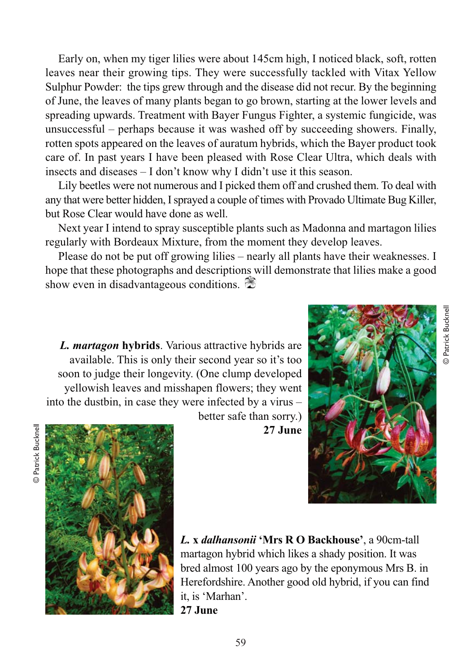Early on, when my tiger lilies were about 145cm high, I noticed black, soft, rotten leaves near their growing tips. They were successfully tackled with Vitax Yellow Sulphur Powder: the tips grew through and the disease did not recur. By the beginning of June, the leaves of many plants began to go brown, starting at the lower levels and spreading upwards. Treatment with Bayer Fungus Fighter, a systemic fungicide, was unsuccessful – perhaps because it was washed off by succeeding showers. Finally, rotten spots appeared on the leaves of auratum hybrids, which the Bayer product took care of. In past years I have been pleased with Rose Clear Ultra, which deals with insects and diseases – I don't know why I didn't use it this season.

Lily beetles were not numerous and I picked them off and crushed them. To deal with any that were better hidden, I sprayed a couple of times with Provado Ultimate Bug Killer, but Rose Clear would have done as well.

Next year I intend to spray susceptible plants such as Madonna and martagon lilies regularly with Bordeaux Mixture, from the moment they develop leaves.

Please do not be put off growing lilies – nearly all plants have their weaknesses. I hope that these photographs and descriptions will demonstrate that lilies make a good show even in disadvantageous conditions.

*L. martagon* **hybrids**. Various attractive hybrids are available. This is only their second year so it's too soon to judge their longevity. (One clump developed yellowish leaves and misshapen flowers; they went into the dustbin, in case they were infected by a virus –

© Patrick Bucknell

Patrick Bucknell





better safe than sorry.) **27 June**

*L.* **x** *dalhansonii* **'Mrs R O Backhouse'**, a 90cm-tall martagon hybrid which likes a shady position. It was bred almost 100 years ago by the eponymous Mrs B. in Herefordshire. Another good old hybrid, if you can find it, is 'Marhan'. **27 June**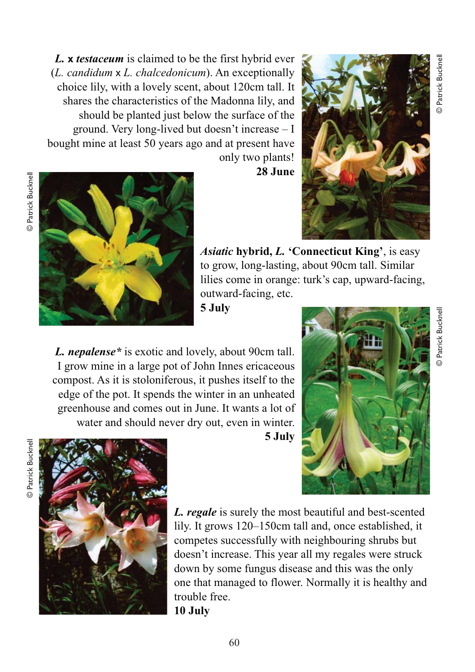*L.* **x** *testaceum* is claimed to be the first hybrid ever (*L. candidum* x *L. chalcedonicum*). An exceptionally choice lily, with a lovely scent, about 120cm tall. It shares the characteristics of the Madonna lily, and should be planted just below the surface of the ground. Very long-lived but doesn't increase – I bought mine at least 50 years ago and at present have only two plants!

**28 June**



© Patrick Bucknell

Patrick Bucknell



*Asiatic* **hybrid,** *L.* **'Connecticut King'**, is easy to grow, long-lasting, about 90cm tall. Similar lilies come in orange: turk's cap, upward-facing, outward-facing, etc.

**5 July**

*L. nepalense\** is exotic and lovely, about 90cm tall. I grow mine in a large pot of John Innes ericaceous compost. As it is stoloniferous, it pushes itself to the edge of the pot. It spends the winter in an unheated greenhouse and comes out in June. It wants a lot of water and should never dry out, even in winter.

**5 July**





*L. regale* is surely the most beautiful and best-scented lily. It grows 120–150cm tall and, once established, it competes successfully with neighbouring shrubs but doesn't increase. This year all my regales were struck down by some fungus disease and this was the only one that managed to flower. Normally it is healthy and trouble free. **10 July**

60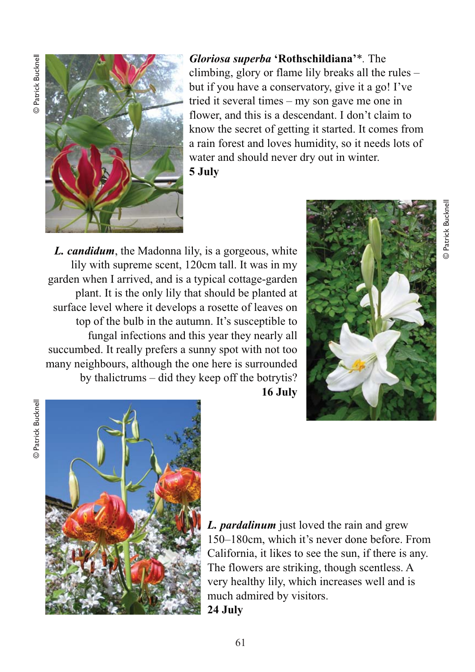**Datrick Bucknell** © Patrick Bucknell



*Gloriosa superba* **'Rothschildiana'***\*.* The climbing, glory or flame lily breaks all the rules – but if you have a conservatory, give it a go! I've tried it several times – my son gave me one in flower, and this is a descendant. I don't claim to know the secret of getting it started. It comes from a rain forest and loves humidity, so it needs lots of water and should never dry out in winter. **5 July**

*L. candidum* , the Madonna lily, is a gorgeous, white lily with supreme scent, 120cm tall. It was in my garden when I arrived, and is a typical cottage-garden plant. It is the only lily that should be planted at surface level where it develops a rosette of leaves on top of the bulb in the autumn. It's susceptible to fungal infections and this year they nearly all succumbed. It really prefers a sunny spot with not too many neighbours, although the one here is surrounded by thalictrums – did they keep off the botrytis?



**16 July**



*L. pardalinum* just loved the rain and grew 150–180cm, which it's never done before. From California, it likes to see the sun, if there is any. The flowers are striking, though scentless. A very healthy lily, which increases well and is much admired by visitors. **24 July**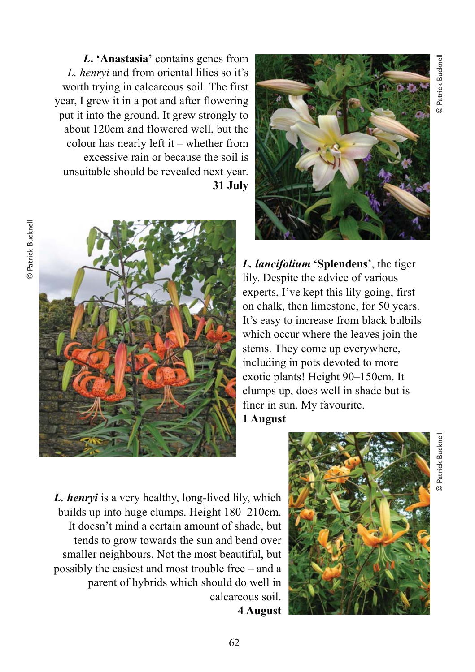*L***. 'Anastasia'** contains genes from *L. henryi* and from oriental lilies so it's worth trying in calcareous soil. The first year, I grew it in a pot and after flowering put it into the ground. It grew strongly to about 120cm and flowered well, but the colour has nearly left it – whether from excessive rain or because the soil is unsuitable should be revealed next year. **31 July**





*L. lancifolium* **'Splendens'**, the tiger lily. Despite the advice of various experts, I've kept this lily going, first on chalk, then limestone, for 50 years. It's easy to increase from black bulbils which occur where the leaves join the stems. They come up everywhere, including in pots devoted to more exotic plants! Height 90–150cm. It clumps up, does well in shade but is finer in sun. My favourite. **1 August**

*L. henryi* is a very healthy, long-lived lily, which builds up into huge clumps. Height 180–210cm. It doesn't mind a certain amount of shade, but tends to grow towards the sun and bend over smaller neighbours. Not the most beautiful, but possibly the easiest and most trouble free – and a parent of hybrids which should do well in calcareous soil. **4 August**